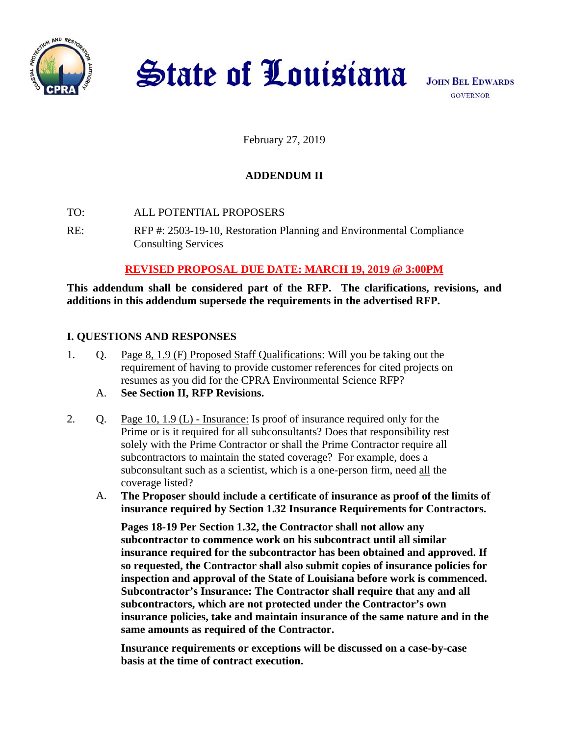

**State of Louisiana** 

**JOHN BEL EDWARDS GOVERNOR** 

February 27, 2019

# **ADDENDUM II**

- TO: ALL POTENTIAL PROPOSERS
- RE: RFP #: 2503-19-10, Restoration Planning and Environmental Compliance Consulting Services

## **REVISED PROPOSAL DUE DATE: MARCH 19, 2019 @ 3:00PM**

**This addendum shall be considered part of the RFP. The clarifications, revisions, and additions in this addendum supersede the requirements in the advertised RFP.** 

## **I. QUESTIONS AND RESPONSES**

- 1. Q. Page 8, 1.9 (F) Proposed Staff Qualifications: Will you be taking out the requirement of having to provide customer references for cited projects on resumes as you did for the CPRA Environmental Science RFP?
	- A. **See Section II, RFP Revisions.**
- 2. Q. Page 10, 1.9 (L) Insurance: Is proof of insurance required only for the Prime or is it required for all subconsultants? Does that responsibility rest solely with the Prime Contractor or shall the Prime Contractor require all subcontractors to maintain the stated coverage? For example, does a subconsultant such as a scientist, which is a one-person firm, need all the coverage listed?
	- A. **The Proposer should include a certificate of insurance as proof of the limits of insurance required by Section 1.32 Insurance Requirements for Contractors.**

**Pages 18-19 Per Section 1.32, the Contractor shall not allow any subcontractor to commence work on his subcontract until all similar insurance required for the subcontractor has been obtained and approved. If so requested, the Contractor shall also submit copies of insurance policies for inspection and approval of the State of Louisiana before work is commenced. Subcontractor's Insurance: The Contractor shall require that any and all subcontractors, which are not protected under the Contractor's own insurance policies, take and maintain insurance of the same nature and in the same amounts as required of the Contractor.** 

**Insurance requirements or exceptions will be discussed on a case-by-case basis at the time of contract execution.**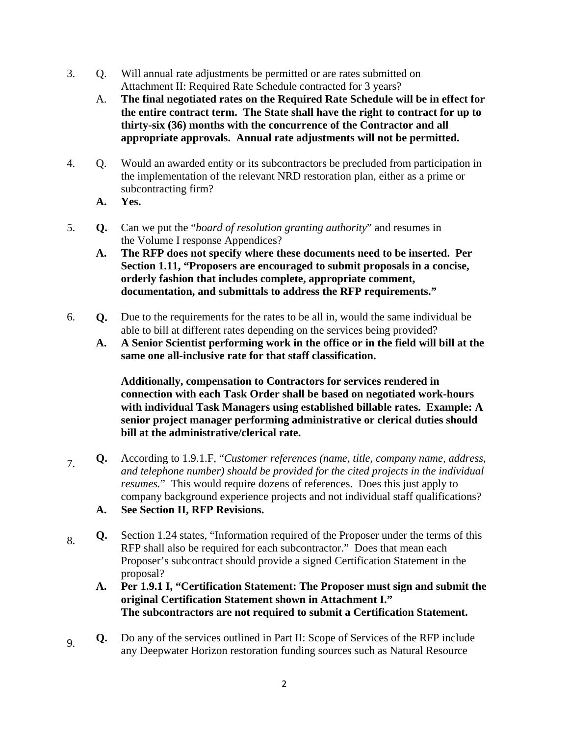- 3. Q. Will annual rate adjustments be permitted or are rates submitted on Attachment II: Required Rate Schedule contracted for 3 years?
	- A. **The final negotiated rates on the Required Rate Schedule will be in effect for the entire contract term. The State shall have the right to contract for up to thirty-six (36) months with the concurrence of the Contractor and all appropriate approvals. Annual rate adjustments will not be permitted.**
- 4. Q. Would an awarded entity or its subcontractors be precluded from participation in the implementation of the relevant NRD restoration plan, either as a prime or subcontracting firm?
	- **A. Yes.**
- 5. **Q.** Can we put the "*board of resolution granting authority*" and resumes in the Volume I response Appendices?
	- **A. The RFP does not specify where these documents need to be inserted. Per Section 1.11, "Proposers are encouraged to submit proposals in a concise, orderly fashion that includes complete, appropriate comment, documentation, and submittals to address the RFP requirements."**
- 6. **Q.** Due to the requirements for the rates to be all in, would the same individual be able to bill at different rates depending on the services being provided?
	- **A. A Senior Scientist performing work in the office or in the field will bill at the same one all-inclusive rate for that staff classification.**

**Additionally, compensation to Contractors for services rendered in connection with each Task Order shall be based on negotiated work-hours with individual Task Managers using established billable rates. Example: A senior project manager performing administrative or clerical duties should bill at the administrative/clerical rate.** 

- 7. **Q.** According to 1.9.1.F, "*Customer references (name, title, company name, address, and telephone number) should be provided for the cited projects in the individual resumes.*" This would require dozens of references. Does this just apply to company background experience projects and not individual staff qualifications? **A. See Section II, RFP Revisions.**
- 8. **Q.** Section 1.24 states, "Information required of the Proposer under the terms of this RFP shall also be required for each subcontractor." Does that mean each Proposer's subcontract should provide a signed Certification Statement in the proposal?
	- **A. Per 1.9.1 I, "Certification Statement: The Proposer must sign and submit the original Certification Statement shown in Attachment I." The subcontractors are not required to submit a Certification Statement.**
- 9. **Q.** Do any of the services outlined in Part II: Scope of Services of the RFP include any Deepwater Horizon restoration funding sources such as Natural Resource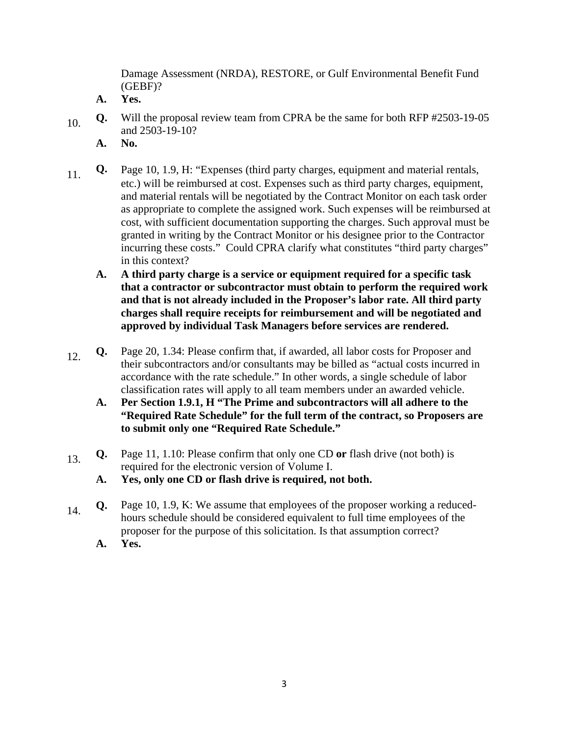Damage Assessment (NRDA), RESTORE, or Gulf Environmental Benefit Fund (GEBF)?

- **A. Yes.**
- 10. **Q.** Will the proposal review team from CPRA be the same for both RFP #2503-19-05 and 2503-19-10?
	- **A. No.**
- 11. **Q.** Page 10, 1.9, H: "Expenses (third party charges, equipment and material rentals, etc.) will be reimbursed at cost. Expenses such as third party charges, equipment, and material rentals will be negotiated by the Contract Monitor on each task order as appropriate to complete the assigned work. Such expenses will be reimbursed at cost, with sufficient documentation supporting the charges. Such approval must be granted in writing by the Contract Monitor or his designee prior to the Contractor incurring these costs." Could CPRA clarify what constitutes "third party charges" in this context?
	- **A. A third party charge is a service or equipment required for a specific task that a contractor or subcontractor must obtain to perform the required work and that is not already included in the Proposer's labor rate. All third party charges shall require receipts for reimbursement and will be negotiated and approved by individual Task Managers before services are rendered.**
- 12. **Q.** Page 20, 1.34: Please confirm that, if awarded, all labor costs for Proposer and their subcontractors and/or consultants may be billed as "actual costs incurred in accordance with the rate schedule." In other words, a single schedule of labor classification rates will apply to all team members under an awarded vehicle.
	- **A. Per Section 1.9.1, H "The Prime and subcontractors will all adhere to the "Required Rate Schedule" for the full term of the contract, so Proposers are to submit only one "Required Rate Schedule."**
- 13. **Q.** Page 11, 1.10: Please confirm that only one CD or flash drive (not both) is required for the electronic version of Volume I.
	- **A. Yes, only one CD or flash drive is required, not both.**
- 14. **Q.** Page 10, 1.9, K: We assume that employees of the proposer working a reducedhours schedule should be considered equivalent to full time employees of the proposer for the purpose of this solicitation. Is that assumption correct?
	- **A. Yes.**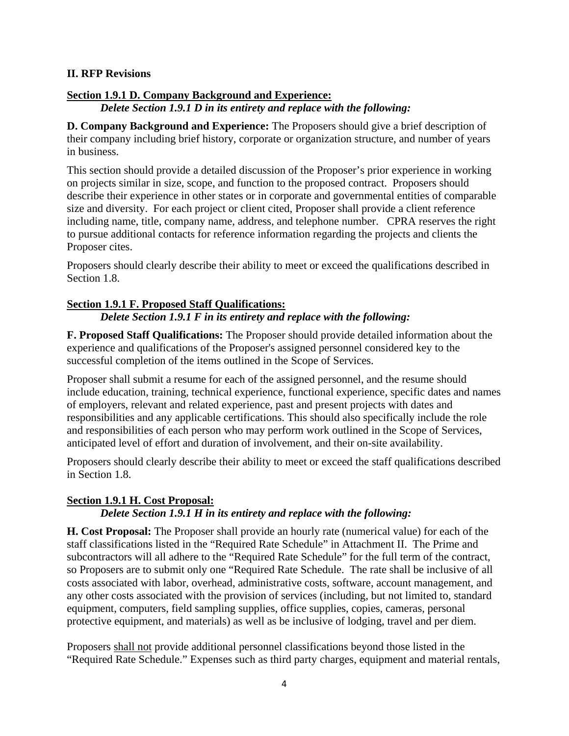#### **II. RFP Revisions**

#### **Section 1.9.1 D. Company Background and Experience:**

*Delete Section 1.9.1 D in its entirety and replace with the following:* 

**D. Company Background and Experience:** The Proposers should give a brief description of their company including brief history, corporate or organization structure, and number of years in business.

This section should provide a detailed discussion of the Proposer's prior experience in working on projects similar in size, scope, and function to the proposed contract. Proposers should describe their experience in other states or in corporate and governmental entities of comparable size and diversity. For each project or client cited, Proposer shall provide a client reference including name, title, company name, address, and telephone number.CPRA reserves the right to pursue additional contacts for reference information regarding the projects and clients the Proposer cites.

Proposers should clearly describe their ability to meet or exceed the qualifications described in Section 1.8.

#### **Section 1.9.1 F. Proposed Staff Qualifications:**

*Delete Section 1.9.1 F in its entirety and replace with the following:* 

**F. Proposed Staff Qualifications:** The Proposer should provide detailed information about the experience and qualifications of the Proposer's assigned personnel considered key to the successful completion of the items outlined in the Scope of Services.

Proposer shall submit a resume for each of the assigned personnel, and the resume should include education, training, technical experience, functional experience, specific dates and names of employers, relevant and related experience, past and present projects with dates and responsibilities and any applicable certifications. This should also specifically include the role and responsibilities of each person who may perform work outlined in the Scope of Services, anticipated level of effort and duration of involvement, and their on-site availability.

Proposers should clearly describe their ability to meet or exceed the staff qualifications described in Section 1.8.

## **Section 1.9.1 H. Cost Proposal:**

#### *Delete Section 1.9.1 H in its entirety and replace with the following:*

**H. Cost Proposal:** The Proposer shall provide an hourly rate (numerical value) for each of the staff classifications listed in the "Required Rate Schedule" in Attachment II. The Prime and subcontractors will all adhere to the "Required Rate Schedule" for the full term of the contract, so Proposers are to submit only one "Required Rate Schedule. The rate shall be inclusive of all costs associated with labor, overhead, administrative costs, software, account management, and any other costs associated with the provision of services (including, but not limited to, standard equipment, computers, field sampling supplies, office supplies, copies, cameras, personal protective equipment, and materials) as well as be inclusive of lodging, travel and per diem.

Proposers shall not provide additional personnel classifications beyond those listed in the "Required Rate Schedule." Expenses such as third party charges, equipment and material rentals,